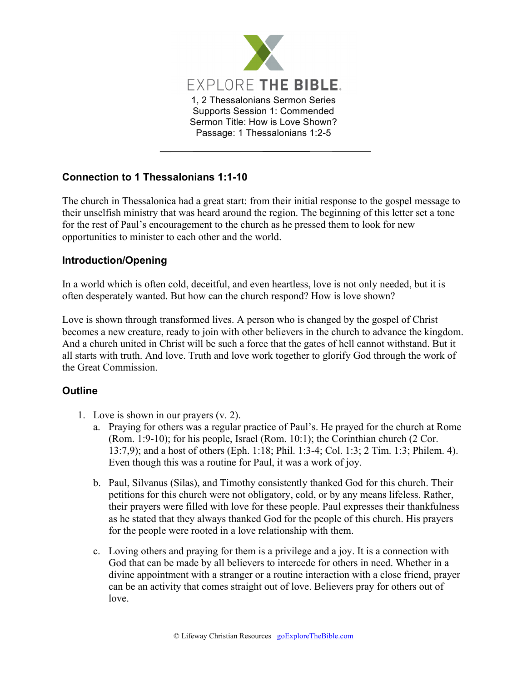

## **Connection to 1 Thessalonians 1:1-10**

The church in Thessalonica had a great start: from their initial response to the gospel message to their unselfish ministry that was heard around the region. The beginning of this letter set a tone for the rest of Paul's encouragement to the church as he pressed them to look for new opportunities to minister to each other and the world.

## **Introduction/Opening**

In a world which is often cold, deceitful, and even heartless, love is not only needed, but it is often desperately wanted. But how can the church respond? How is love shown?

Love is shown through transformed lives. A person who is changed by the gospel of Christ becomes a new creature, ready to join with other believers in the church to advance the kingdom. And a church united in Christ will be such a force that the gates of hell cannot withstand. But it all starts with truth. And love. Truth and love work together to glorify God through the work of the Great Commission.

## **Outline**

- 1. Love is shown in our prayers (v. 2).
	- a. Praying for others was a regular practice of Paul's. He prayed for the church at Rome (Rom. 1:9-10); for his people, Israel (Rom. 10:1); the Corinthian church (2 Cor. 13:7,9); and a host of others (Eph. 1:18; Phil. 1:3-4; Col. 1:3; 2 Tim. 1:3; Philem. 4). Even though this was a routine for Paul, it was a work of joy.
	- b. Paul, Silvanus (Silas), and Timothy consistently thanked God for this church. Their petitions for this church were not obligatory, cold, or by any means lifeless. Rather, their prayers were filled with love for these people. Paul expresses their thankfulness as he stated that they always thanked God for the people of this church. His prayers for the people were rooted in a love relationship with them.
	- c. Loving others and praying for them is a privilege and a joy. It is a connection with God that can be made by all believers to intercede for others in need. Whether in a divine appointment with a stranger or a routine interaction with a close friend, prayer can be an activity that comes straight out of love. Believers pray for others out of love.